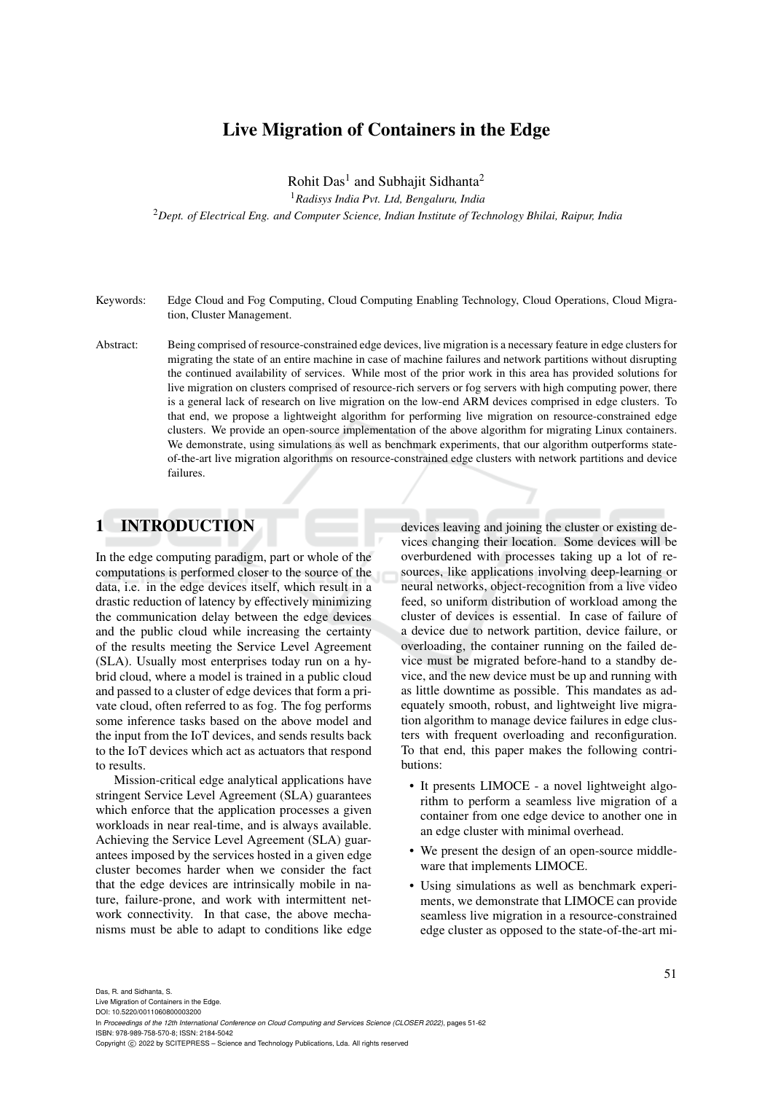# Live Migration of Containers in the Edge

Rohit Das<sup>1</sup> and Subhajit Sidhanta<sup>2</sup>

<sup>1</sup>*Radisys India Pvt. Ltd, Bengaluru, India*

<sup>2</sup>*Dept. of Electrical Eng. and Computer Science, Indian Institute of Technology Bhilai, Raipur, India*

- Keywords: Edge Cloud and Fog Computing, Cloud Computing Enabling Technology, Cloud Operations, Cloud Migration, Cluster Management.
- Abstract: Being comprised of resource-constrained edge devices, live migration is a necessary feature in edge clusters for migrating the state of an entire machine in case of machine failures and network partitions without disrupting the continued availability of services. While most of the prior work in this area has provided solutions for live migration on clusters comprised of resource-rich servers or fog servers with high computing power, there is a general lack of research on live migration on the low-end ARM devices comprised in edge clusters. To that end, we propose a lightweight algorithm for performing live migration on resource-constrained edge clusters. We provide an open-source implementation of the above algorithm for migrating Linux containers. We demonstrate, using simulations as well as benchmark experiments, that our algorithm outperforms stateof-the-art live migration algorithms on resource-constrained edge clusters with network partitions and device failures.

## 1 INTRODUCTION

In the edge computing paradigm, part or whole of the computations is performed closer to the source of the data, i.e. in the edge devices itself, which result in a drastic reduction of latency by effectively minimizing the communication delay between the edge devices and the public cloud while increasing the certainty of the results meeting the Service Level Agreement (SLA). Usually most enterprises today run on a hybrid cloud, where a model is trained in a public cloud and passed to a cluster of edge devices that form a private cloud, often referred to as fog. The fog performs some inference tasks based on the above model and the input from the IoT devices, and sends results back to the IoT devices which act as actuators that respond to results.

Mission-critical edge analytical applications have stringent Service Level Agreement (SLA) guarantees which enforce that the application processes a given workloads in near real-time, and is always available. Achieving the Service Level Agreement (SLA) guarantees imposed by the services hosted in a given edge cluster becomes harder when we consider the fact that the edge devices are intrinsically mobile in nature, failure-prone, and work with intermittent network connectivity. In that case, the above mechanisms must be able to adapt to conditions like edge

devices leaving and joining the cluster or existing devices changing their location. Some devices will be overburdened with processes taking up a lot of resources, like applications involving deep-learning or neural networks, object-recognition from a live video feed, so uniform distribution of workload among the cluster of devices is essential. In case of failure of a device due to network partition, device failure, or overloading, the container running on the failed device must be migrated before-hand to a standby device, and the new device must be up and running with as little downtime as possible. This mandates as adequately smooth, robust, and lightweight live migration algorithm to manage device failures in edge clusters with frequent overloading and reconfiguration. To that end, this paper makes the following contributions:

- It presents LIMOCE a novel lightweight algorithm to perform a seamless live migration of a container from one edge device to another one in an edge cluster with minimal overhead.
- We present the design of an open-source middleware that implements LIMOCE.
- Using simulations as well as benchmark experiments, we demonstrate that LIMOCE can provide seamless live migration in a resource-constrained edge cluster as opposed to the state-of-the-art mi-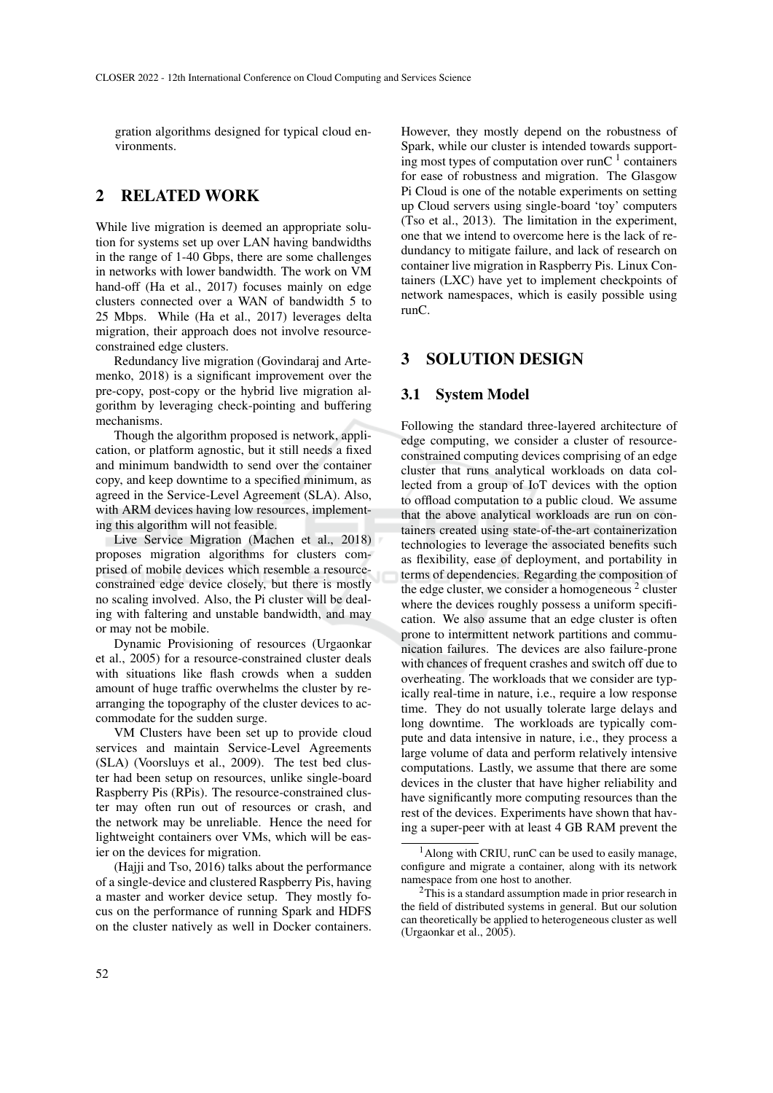gration algorithms designed for typical cloud environments.

## 2 RELATED WORK

While live migration is deemed an appropriate solution for systems set up over LAN having bandwidths in the range of 1-40 Gbps, there are some challenges in networks with lower bandwidth. The work on VM hand-off (Ha et al., 2017) focuses mainly on edge clusters connected over a WAN of bandwidth 5 to 25 Mbps. While (Ha et al., 2017) leverages delta migration, their approach does not involve resourceconstrained edge clusters.

Redundancy live migration (Govindaraj and Artemenko, 2018) is a significant improvement over the pre-copy, post-copy or the hybrid live migration algorithm by leveraging check-pointing and buffering mechanisms.

Though the algorithm proposed is network, application, or platform agnostic, but it still needs a fixed and minimum bandwidth to send over the container copy, and keep downtime to a specified minimum, as agreed in the Service-Level Agreement (SLA). Also, with ARM devices having low resources, implementing this algorithm will not feasible.

Live Service Migration (Machen et al., 2018) proposes migration algorithms for clusters comprised of mobile devices which resemble a resourceconstrained edge device closely, but there is mostly no scaling involved. Also, the Pi cluster will be dealing with faltering and unstable bandwidth, and may or may not be mobile.

Dynamic Provisioning of resources (Urgaonkar et al., 2005) for a resource-constrained cluster deals with situations like flash crowds when a sudden amount of huge traffic overwhelms the cluster by rearranging the topography of the cluster devices to accommodate for the sudden surge.

VM Clusters have been set up to provide cloud services and maintain Service-Level Agreements (SLA) (Voorsluys et al., 2009). The test bed cluster had been setup on resources, unlike single-board Raspberry Pis (RPis). The resource-constrained cluster may often run out of resources or crash, and the network may be unreliable. Hence the need for lightweight containers over VMs, which will be easier on the devices for migration.

(Hajji and Tso, 2016) talks about the performance of a single-device and clustered Raspberry Pis, having a master and worker device setup. They mostly focus on the performance of running Spark and HDFS on the cluster natively as well in Docker containers. However, they mostly depend on the robustness of Spark, while our cluster is intended towards supporting most types of computation over runC  $1$  containers for ease of robustness and migration. The Glasgow Pi Cloud is one of the notable experiments on setting up Cloud servers using single-board 'toy' computers (Tso et al., 2013). The limitation in the experiment, one that we intend to overcome here is the lack of redundancy to mitigate failure, and lack of research on container live migration in Raspberry Pis. Linux Containers (LXC) have yet to implement checkpoints of network namespaces, which is easily possible using runC.

### 3 SOLUTION DESIGN

#### 3.1 System Model

Following the standard three-layered architecture of edge computing, we consider a cluster of resourceconstrained computing devices comprising of an edge cluster that runs analytical workloads on data collected from a group of IoT devices with the option to offload computation to a public cloud. We assume that the above analytical workloads are run on containers created using state-of-the-art containerization technologies to leverage the associated benefits such as flexibility, ease of deployment, and portability in terms of dependencies. Regarding the composition of the edge cluster, we consider a homogeneous<sup>2</sup> cluster where the devices roughly possess a uniform specification. We also assume that an edge cluster is often prone to intermittent network partitions and communication failures. The devices are also failure-prone with chances of frequent crashes and switch off due to overheating. The workloads that we consider are typically real-time in nature, i.e., require a low response time. They do not usually tolerate large delays and long downtime. The workloads are typically compute and data intensive in nature, i.e., they process a large volume of data and perform relatively intensive computations. Lastly, we assume that there are some devices in the cluster that have higher reliability and have significantly more computing resources than the rest of the devices. Experiments have shown that having a super-peer with at least 4 GB RAM prevent the

 $<sup>1</sup>$ Along with CRIU, runC can be used to easily manage,</sup> configure and migrate a container, along with its network namespace from one host to another.

 $2$ This is a standard assumption made in prior research in the field of distributed systems in general. But our solution can theoretically be applied to heterogeneous cluster as well (Urgaonkar et al., 2005).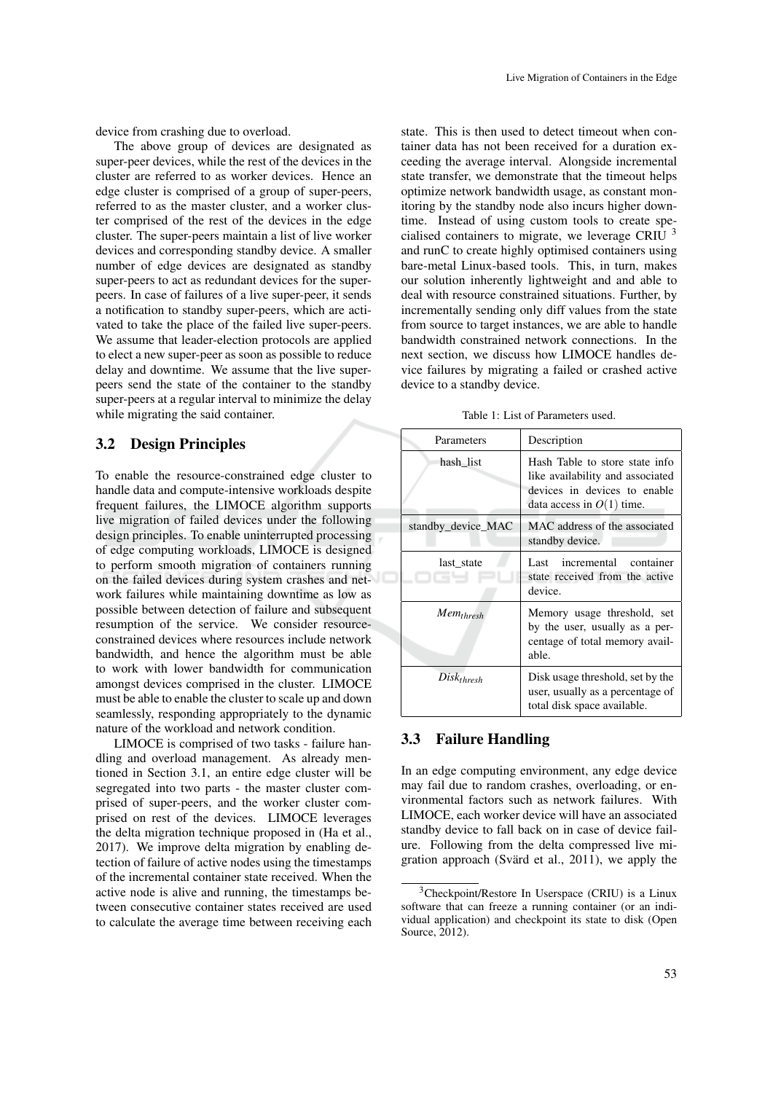device from crashing due to overload.

The above group of devices are designated as super-peer devices, while the rest of the devices in the cluster are referred to as worker devices. Hence an edge cluster is comprised of a group of super-peers, referred to as the master cluster, and a worker cluster comprised of the rest of the devices in the edge cluster. The super-peers maintain a list of live worker devices and corresponding standby device. A smaller number of edge devices are designated as standby super-peers to act as redundant devices for the superpeers. In case of failures of a live super-peer, it sends a notification to standby super-peers, which are activated to take the place of the failed live super-peers. We assume that leader-election protocols are applied to elect a new super-peer as soon as possible to reduce delay and downtime. We assume that the live superpeers send the state of the container to the standby super-peers at a regular interval to minimize the delay while migrating the said container.

### 3.2 Design Principles

To enable the resource-constrained edge cluster to handle data and compute-intensive workloads despite frequent failures, the LIMOCE algorithm supports live migration of failed devices under the following design principles. To enable uninterrupted processing of edge computing workloads, LIMOCE is designed to perform smooth migration of containers running on the failed devices during system crashes and network failures while maintaining downtime as low as possible between detection of failure and subsequent resumption of the service. We consider resourceconstrained devices where resources include network bandwidth, and hence the algorithm must be able to work with lower bandwidth for communication amongst devices comprised in the cluster. LIMOCE must be able to enable the cluster to scale up and down seamlessly, responding appropriately to the dynamic nature of the workload and network condition.

LIMOCE is comprised of two tasks - failure handling and overload management. As already mentioned in Section 3.1, an entire edge cluster will be segregated into two parts - the master cluster comprised of super-peers, and the worker cluster comprised on rest of the devices. LIMOCE leverages the delta migration technique proposed in (Ha et al., 2017). We improve delta migration by enabling detection of failure of active nodes using the timestamps of the incremental container state received. When the active node is alive and running, the timestamps between consecutive container states received are used to calculate the average time between receiving each

state. This is then used to detect timeout when container data has not been received for a duration exceeding the average interval. Alongside incremental state transfer, we demonstrate that the timeout helps optimize network bandwidth usage, as constant monitoring by the standby node also incurs higher downtime. Instead of using custom tools to create specialised containers to migrate, we leverage CRIU  $<sup>3</sup>$ </sup> and runC to create highly optimised containers using bare-metal Linux-based tools. This, in turn, makes our solution inherently lightweight and and able to deal with resource constrained situations. Further, by incrementally sending only diff values from the state from source to target instances, we are able to handle bandwidth constrained network connections. In the next section, we discuss how LIMOCE handles device failures by migrating a failed or crashed active device to a standby device.

Table 1: List of Parameters used.

| Parameters         | Description                                                                                                                       |
|--------------------|-----------------------------------------------------------------------------------------------------------------------------------|
| hash list          | Hash Table to store state info<br>like availability and associated<br>devices in devices to enable<br>data access in $O(1)$ time. |
| standby device MAC | MAC address of the associated<br>standby device.                                                                                  |
| last state         | Last incremental container<br>state received from the active<br>device.                                                           |
| $Mem_{thresh}$     | Memory usage threshold, set<br>by the user, usually as a per-<br>centage of total memory avail-<br>able.                          |
| $Disk_{thresh}$    | Disk usage threshold, set by the<br>user, usually as a percentage of<br>total disk space available.                               |

### 3.3 Failure Handling

In an edge computing environment, any edge device may fail due to random crashes, overloading, or environmental factors such as network failures. With LIMOCE, each worker device will have an associated standby device to fall back on in case of device failure. Following from the delta compressed live migration approach (Svärd et al., 2011), we apply the

 $3$ Checkpoint/Restore In Userspace (CRIU) is a Linux software that can freeze a running container (or an individual application) and checkpoint its state to disk (Open Source, 2012).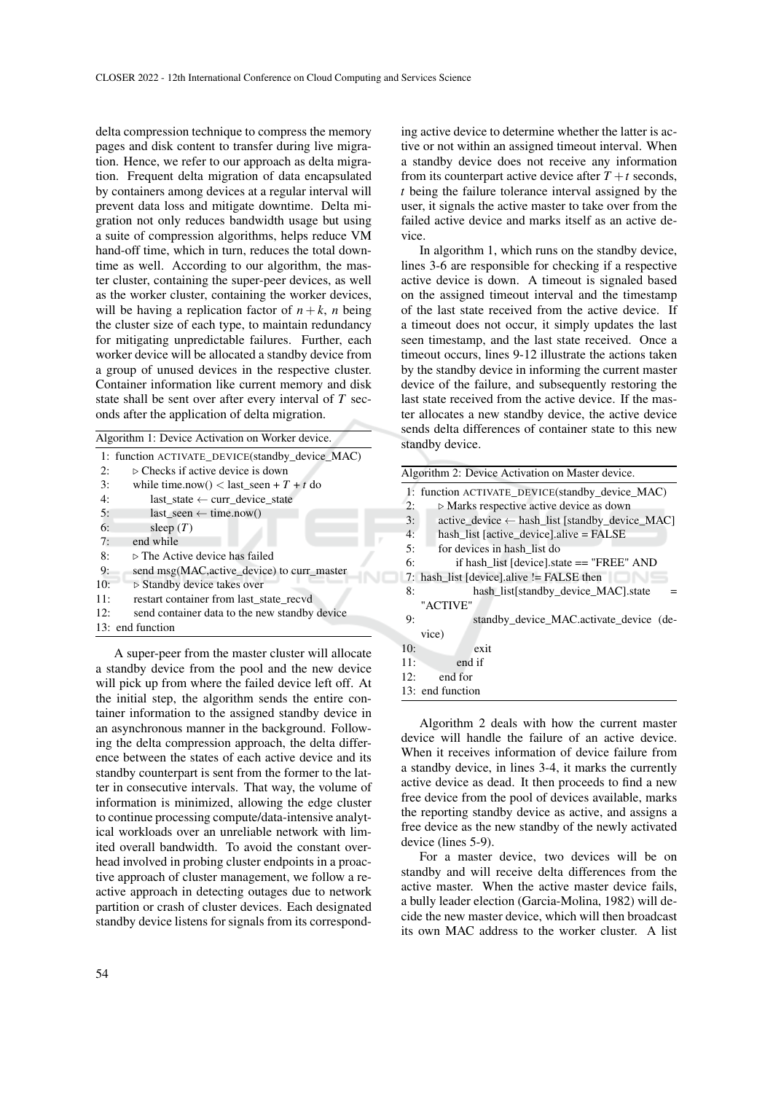delta compression technique to compress the memory pages and disk content to transfer during live migration. Hence, we refer to our approach as delta migration. Frequent delta migration of data encapsulated by containers among devices at a regular interval will prevent data loss and mitigate downtime. Delta migration not only reduces bandwidth usage but using a suite of compression algorithms, helps reduce VM hand-off time, which in turn, reduces the total downtime as well. According to our algorithm, the master cluster, containing the super-peer devices, as well as the worker cluster, containing the worker devices, will be having a replication factor of  $n + k$ , *n* being the cluster size of each type, to maintain redundancy for mitigating unpredictable failures. Further, each worker device will be allocated a standby device from a group of unused devices in the respective cluster. Container information like current memory and disk state shall be sent over after every interval of *T* seconds after the application of delta migration.

| Algorithm 1: Device Activation on Worker device. |  |  |  |  |  |
|--------------------------------------------------|--|--|--|--|--|
|--------------------------------------------------|--|--|--|--|--|

| 1: function ACTIVATE DEVICE (standby device MAC) |
|--------------------------------------------------|
| $\triangleright$ Checks if active device is down |
| while time.now() < last seen + $T + t$ do        |
| last state $\leftarrow$ curr device state        |
| last seen $\leftarrow$ time.now()                |
| sleep $(T)$                                      |
| end while                                        |
| $\triangleright$ The Active device has failed    |
| send msg(MAC, active device) to curr master      |
| $\triangleright$ Standby device takes over       |
| restart container from last state recyd          |
| send container data to the new standby device    |
| 13: end function                                 |
|                                                  |

A super-peer from the master cluster will allocate a standby device from the pool and the new device will pick up from where the failed device left off. At the initial step, the algorithm sends the entire container information to the assigned standby device in an asynchronous manner in the background. Following the delta compression approach, the delta difference between the states of each active device and its standby counterpart is sent from the former to the latter in consecutive intervals. That way, the volume of information is minimized, allowing the edge cluster to continue processing compute/data-intensive analytical workloads over an unreliable network with limited overall bandwidth. To avoid the constant overhead involved in probing cluster endpoints in a proactive approach of cluster management, we follow a reactive approach in detecting outages due to network partition or crash of cluster devices. Each designated standby device listens for signals from its corresponding active device to determine whether the latter is active or not within an assigned timeout interval. When a standby device does not receive any information from its counterpart active device after  $T + t$  seconds, *t* being the failure tolerance interval assigned by the user, it signals the active master to take over from the failed active device and marks itself as an active device.

In algorithm 1, which runs on the standby device, lines 3-6 are responsible for checking if a respective active device is down. A timeout is signaled based on the assigned timeout interval and the timestamp of the last state received from the active device. If a timeout does not occur, it simply updates the last seen timestamp, and the last state received. Once a timeout occurs, lines 9-12 illustrate the actions taken by the standby device in informing the current master device of the failure, and subsequently restoring the last state received from the active device. If the master allocates a new standby device, the active device sends delta differences of container state to this new standby device.

|     | Algorithm 2: Device Activation on Master device.          |
|-----|-----------------------------------------------------------|
|     | 1: function ACTIVATE DEVICE (standby device MAC)          |
| 2:  | $\triangleright$ Marks respective active device as down   |
| 3:  | active device $\leftarrow$ hash list [standby device MAC] |
| 4:  | hash list $[active device].alive = FALSE$                 |
| 5:  | for devices in hash list do                               |
| 6:  | if hash list [device].state == "FREE" AND                 |
|     | 7: hash list [device] alive != FALSE then                 |
| 8:  | hash list[standby_device_MAC].state                       |
|     | "ACTIVE"                                                  |
| 9:  | standby device MAC.activate device (de-                   |
|     | vice)                                                     |
| 10: | exit                                                      |
| 11: | end if                                                    |
| 12: | end for                                                   |
|     | 13: end function                                          |

Algorithm 2 deals with how the current master device will handle the failure of an active device. When it receives information of device failure from a standby device, in lines 3-4, it marks the currently active device as dead. It then proceeds to find a new free device from the pool of devices available, marks the reporting standby device as active, and assigns a free device as the new standby of the newly activated device (lines 5-9).

For a master device, two devices will be on standby and will receive delta differences from the active master. When the active master device fails, a bully leader election (Garcia-Molina, 1982) will decide the new master device, which will then broadcast its own MAC address to the worker cluster. A list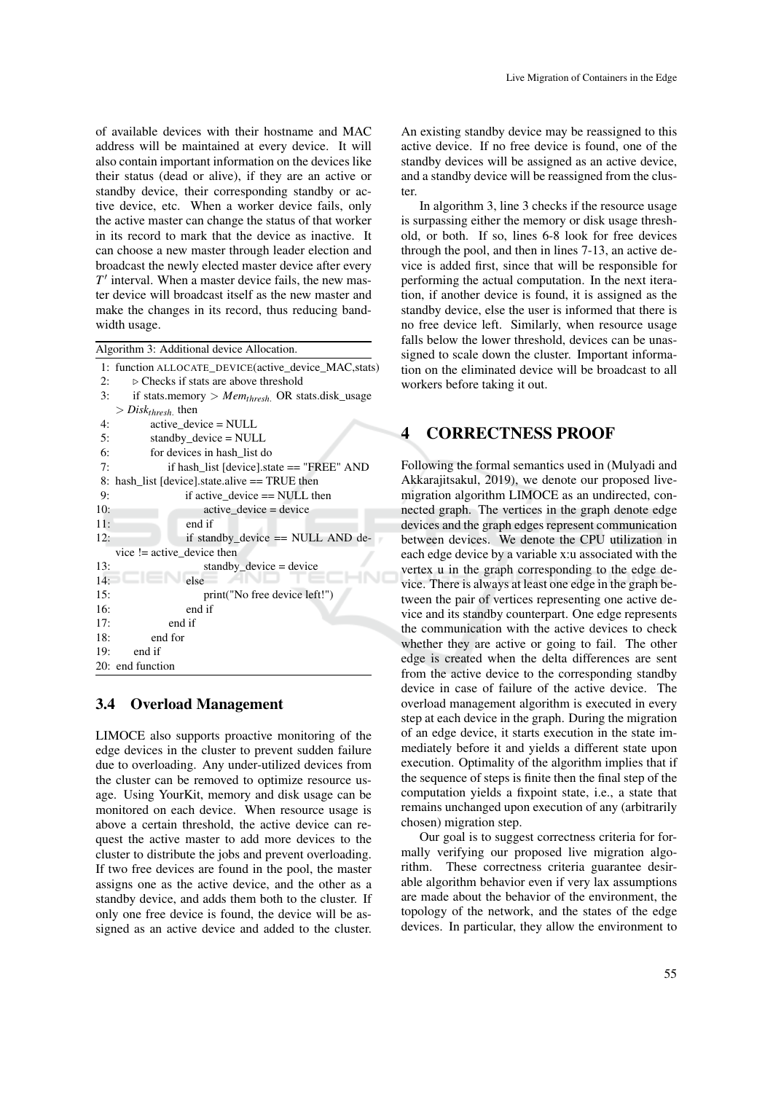of available devices with their hostname and MAC address will be maintained at every device. It will also contain important information on the devices like their status (dead or alive), if they are an active or standby device, their corresponding standby or active device, etc. When a worker device fails, only the active master can change the status of that worker in its record to mark that the device as inactive. It can choose a new master through leader election and broadcast the newly elected master device after every  $T'$  interval. When a master device fails, the new master device will broadcast itself as the new master and make the changes in its record, thus reducing bandwidth usage.

Algorithm 3: Additional device Allocation.

```
1: function ALLOCATE_DEVICE(active_device_MAC,stats)
2: \triangleright Checks if stats are above threshold
3: if stats.memory > Memthresh. OR stats.disk_usage
   > Disk_{thresh} then
4: active_device = NULL
5: standby_device = NULL
6: for devices in hash_list do
7: if hash_list [device].state == "FREE" AND
8: hash list [device].state.alive == TRUE then
9: if active device == NULL then
10: active device = device
11: end if
12: if standby_device == NULL AND de-
   vice != active_device then
13: standby_device = device
14: else
15: print("No free device left!")
16: end if
17: end if
18: end for
19: end if
20: end function
```
### 3.4 Overload Management

LIMOCE also supports proactive monitoring of the edge devices in the cluster to prevent sudden failure due to overloading. Any under-utilized devices from the cluster can be removed to optimize resource usage. Using YourKit, memory and disk usage can be monitored on each device. When resource usage is above a certain threshold, the active device can request the active master to add more devices to the cluster to distribute the jobs and prevent overloading. If two free devices are found in the pool, the master assigns one as the active device, and the other as a standby device, and adds them both to the cluster. If only one free device is found, the device will be assigned as an active device and added to the cluster. An existing standby device may be reassigned to this active device. If no free device is found, one of the standby devices will be assigned as an active device, and a standby device will be reassigned from the cluster.

In algorithm 3, line 3 checks if the resource usage is surpassing either the memory or disk usage threshold, or both. If so, lines 6-8 look for free devices through the pool, and then in lines 7-13, an active device is added first, since that will be responsible for performing the actual computation. In the next iteration, if another device is found, it is assigned as the standby device, else the user is informed that there is no free device left. Similarly, when resource usage falls below the lower threshold, devices can be unassigned to scale down the cluster. Important information on the eliminated device will be broadcast to all workers before taking it out.

## 4 CORRECTNESS PROOF

Following the formal semantics used in (Mulyadi and Akkarajitsakul, 2019), we denote our proposed livemigration algorithm LIMOCE as an undirected, connected graph. The vertices in the graph denote edge devices and the graph edges represent communication between devices. We denote the CPU utilization in each edge device by a variable x:u associated with the vertex u in the graph corresponding to the edge device. There is always at least one edge in the graph between the pair of vertices representing one active device and its standby counterpart. One edge represents the communication with the active devices to check whether they are active or going to fail. The other edge is created when the delta differences are sent from the active device to the corresponding standby device in case of failure of the active device. The overload management algorithm is executed in every step at each device in the graph. During the migration of an edge device, it starts execution in the state immediately before it and yields a different state upon execution. Optimality of the algorithm implies that if the sequence of steps is finite then the final step of the computation yields a fixpoint state, i.e., a state that remains unchanged upon execution of any (arbitrarily chosen) migration step.

Our goal is to suggest correctness criteria for formally verifying our proposed live migration algorithm. These correctness criteria guarantee desirable algorithm behavior even if very lax assumptions are made about the behavior of the environment, the topology of the network, and the states of the edge devices. In particular, they allow the environment to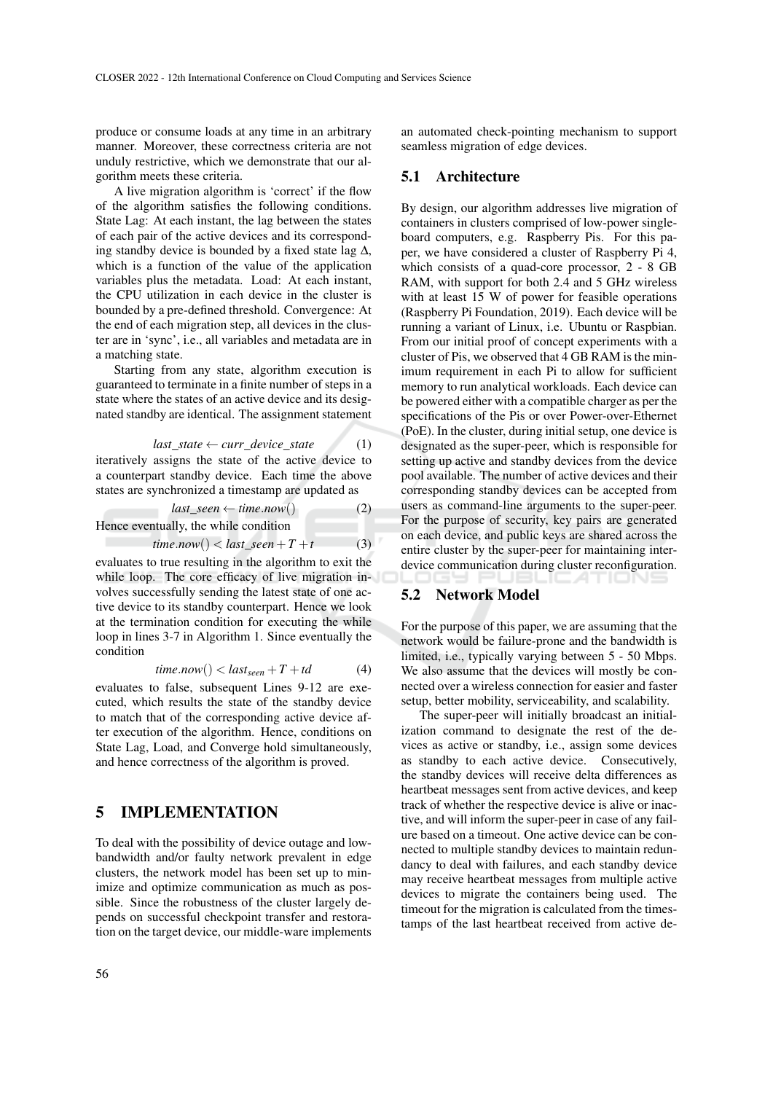produce or consume loads at any time in an arbitrary manner. Moreover, these correctness criteria are not unduly restrictive, which we demonstrate that our algorithm meets these criteria.

A live migration algorithm is 'correct' if the flow of the algorithm satisfies the following conditions. State Lag: At each instant, the lag between the states of each pair of the active devices and its corresponding standby device is bounded by a fixed state lag ∆, which is a function of the value of the application variables plus the metadata. Load: At each instant, the CPU utilization in each device in the cluster is bounded by a pre-defined threshold. Convergence: At the end of each migration step, all devices in the cluster are in 'sync', i.e., all variables and metadata are in a matching state.

Starting from any state, algorithm execution is guaranteed to terminate in a finite number of steps in a state where the states of an active device and its designated standby are identical. The assignment statement

$$
last\_state \leftarrow curr\_device\_state
$$
 (1)

iteratively assigns the state of the active device to a counterpart standby device. Each time the above states are synchronized a timestamp are updated as

$$
last\_seen \leftarrow time.now() \qquad (2)
$$

Hence eventually, the while condition

$$
time.now() < last\_seen + T + t \tag{3}
$$

evaluates to true resulting in the algorithm to exit the while loop. The core efficacy of live migration involves successfully sending the latest state of one active device to its standby counterpart. Hence we look at the termination condition for executing the while loop in lines 3-7 in Algorithm 1. Since eventually the condition

$$
time.now() < last_{seen} + T + td \tag{4}
$$

evaluates to false, subsequent Lines 9-12 are executed, which results the state of the standby device to match that of the corresponding active device after execution of the algorithm. Hence, conditions on State Lag, Load, and Converge hold simultaneously, and hence correctness of the algorithm is proved.

### 5 IMPLEMENTATION

To deal with the possibility of device outage and lowbandwidth and/or faulty network prevalent in edge clusters, the network model has been set up to minimize and optimize communication as much as possible. Since the robustness of the cluster largely depends on successful checkpoint transfer and restoration on the target device, our middle-ware implements

an automated check-pointing mechanism to support seamless migration of edge devices.

### 5.1 Architecture

By design, our algorithm addresses live migration of containers in clusters comprised of low-power singleboard computers, e.g. Raspberry Pis. For this paper, we have considered a cluster of Raspberry Pi 4, which consists of a quad-core processor, 2 - 8 GB RAM, with support for both 2.4 and 5 GHz wireless with at least 15 W of power for feasible operations (Raspberry Pi Foundation, 2019). Each device will be running a variant of Linux, i.e. Ubuntu or Raspbian. From our initial proof of concept experiments with a cluster of Pis, we observed that 4 GB RAM is the minimum requirement in each Pi to allow for sufficient memory to run analytical workloads. Each device can be powered either with a compatible charger as per the specifications of the Pis or over Power-over-Ethernet (PoE). In the cluster, during initial setup, one device is designated as the super-peer, which is responsible for setting up active and standby devices from the device pool available. The number of active devices and their corresponding standby devices can be accepted from users as command-line arguments to the super-peer. For the purpose of security, key pairs are generated on each device, and public keys are shared across the entire cluster by the super-peer for maintaining interdevice communication during cluster reconfiguration.

### 5.2 Network Model

For the purpose of this paper, we are assuming that the network would be failure-prone and the bandwidth is limited, i.e., typically varying between 5 - 50 Mbps. We also assume that the devices will mostly be connected over a wireless connection for easier and faster setup, better mobility, serviceability, and scalability.

The super-peer will initially broadcast an initialization command to designate the rest of the devices as active or standby, i.e., assign some devices as standby to each active device. Consecutively, the standby devices will receive delta differences as heartbeat messages sent from active devices, and keep track of whether the respective device is alive or inactive, and will inform the super-peer in case of any failure based on a timeout. One active device can be connected to multiple standby devices to maintain redundancy to deal with failures, and each standby device may receive heartbeat messages from multiple active devices to migrate the containers being used. The timeout for the migration is calculated from the timestamps of the last heartbeat received from active de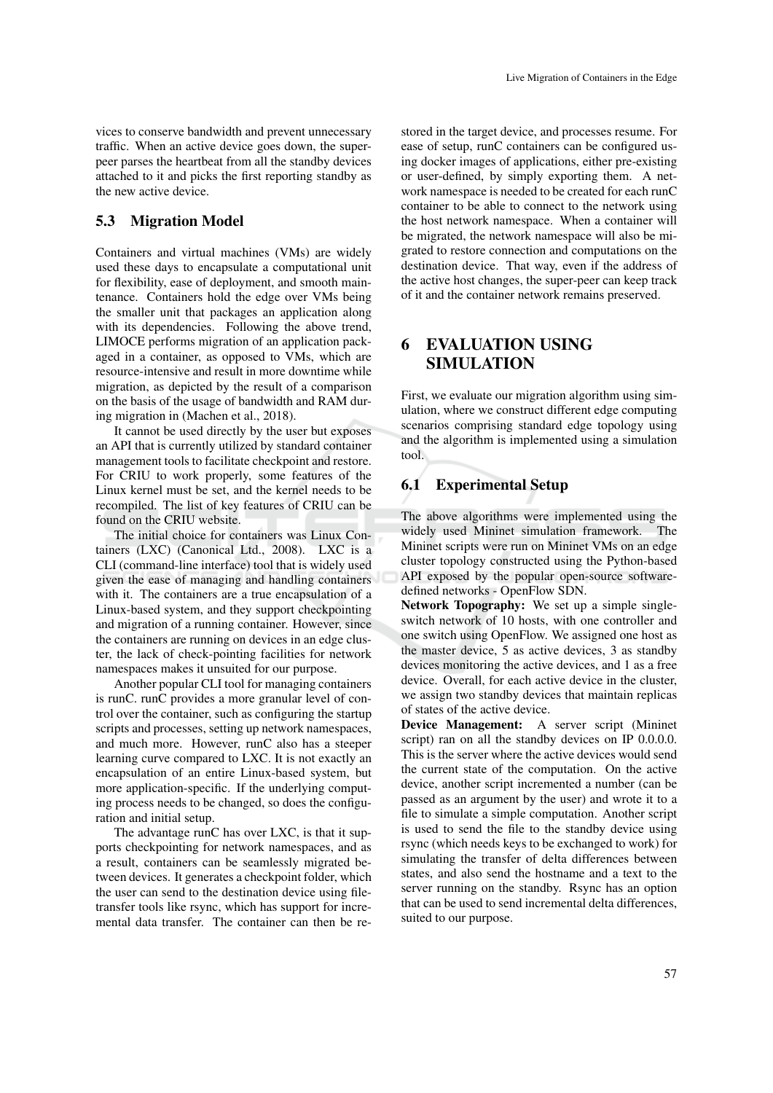vices to conserve bandwidth and prevent unnecessary traffic. When an active device goes down, the superpeer parses the heartbeat from all the standby devices attached to it and picks the first reporting standby as the new active device.

#### 5.3 Migration Model

Containers and virtual machines (VMs) are widely used these days to encapsulate a computational unit for flexibility, ease of deployment, and smooth maintenance. Containers hold the edge over VMs being the smaller unit that packages an application along with its dependencies. Following the above trend, LIMOCE performs migration of an application packaged in a container, as opposed to VMs, which are resource-intensive and result in more downtime while migration, as depicted by the result of a comparison on the basis of the usage of bandwidth and RAM during migration in (Machen et al., 2018).

It cannot be used directly by the user but exposes an API that is currently utilized by standard container management tools to facilitate checkpoint and restore. For CRIU to work properly, some features of the Linux kernel must be set, and the kernel needs to be recompiled. The list of key features of CRIU can be found on the CRIU website.

The initial choice for containers was Linux Containers (LXC) (Canonical Ltd., 2008). LXC is a CLI (command-line interface) tool that is widely used given the ease of managing and handling containers with it. The containers are a true encapsulation of a Linux-based system, and they support checkpointing and migration of a running container. However, since the containers are running on devices in an edge cluster, the lack of check-pointing facilities for network namespaces makes it unsuited for our purpose.

Another popular CLI tool for managing containers is runC. runC provides a more granular level of control over the container, such as configuring the startup scripts and processes, setting up network namespaces, and much more. However, runC also has a steeper learning curve compared to LXC. It is not exactly an encapsulation of an entire Linux-based system, but more application-specific. If the underlying computing process needs to be changed, so does the configuration and initial setup.

The advantage runC has over LXC, is that it supports checkpointing for network namespaces, and as a result, containers can be seamlessly migrated between devices. It generates a checkpoint folder, which the user can send to the destination device using filetransfer tools like rsync, which has support for incremental data transfer. The container can then be restored in the target device, and processes resume. For ease of setup, runC containers can be configured using docker images of applications, either pre-existing or user-defined, by simply exporting them. A network namespace is needed to be created for each runC container to be able to connect to the network using the host network namespace. When a container will be migrated, the network namespace will also be migrated to restore connection and computations on the destination device. That way, even if the address of the active host changes, the super-peer can keep track of it and the container network remains preserved.

## 6 EVALUATION USING **SIMULATION**

First, we evaluate our migration algorithm using simulation, where we construct different edge computing scenarios comprising standard edge topology using and the algorithm is implemented using a simulation tool.

### 6.1 Experimental Setup

The above algorithms were implemented using the widely used Mininet simulation framework. The Mininet scripts were run on Mininet VMs on an edge cluster topology constructed using the Python-based API exposed by the popular open-source softwaredefined networks - OpenFlow SDN.

Network Topography: We set up a simple singleswitch network of 10 hosts, with one controller and one switch using OpenFlow. We assigned one host as the master device, 5 as active devices, 3 as standby devices monitoring the active devices, and 1 as a free device. Overall, for each active device in the cluster, we assign two standby devices that maintain replicas of states of the active device.

Device Management: A server script (Mininet script) ran on all the standby devices on IP 0.0.0.0. This is the server where the active devices would send the current state of the computation. On the active device, another script incremented a number (can be passed as an argument by the user) and wrote it to a file to simulate a simple computation. Another script is used to send the file to the standby device using rsync (which needs keys to be exchanged to work) for simulating the transfer of delta differences between states, and also send the hostname and a text to the server running on the standby. Rsync has an option that can be used to send incremental delta differences, suited to our purpose.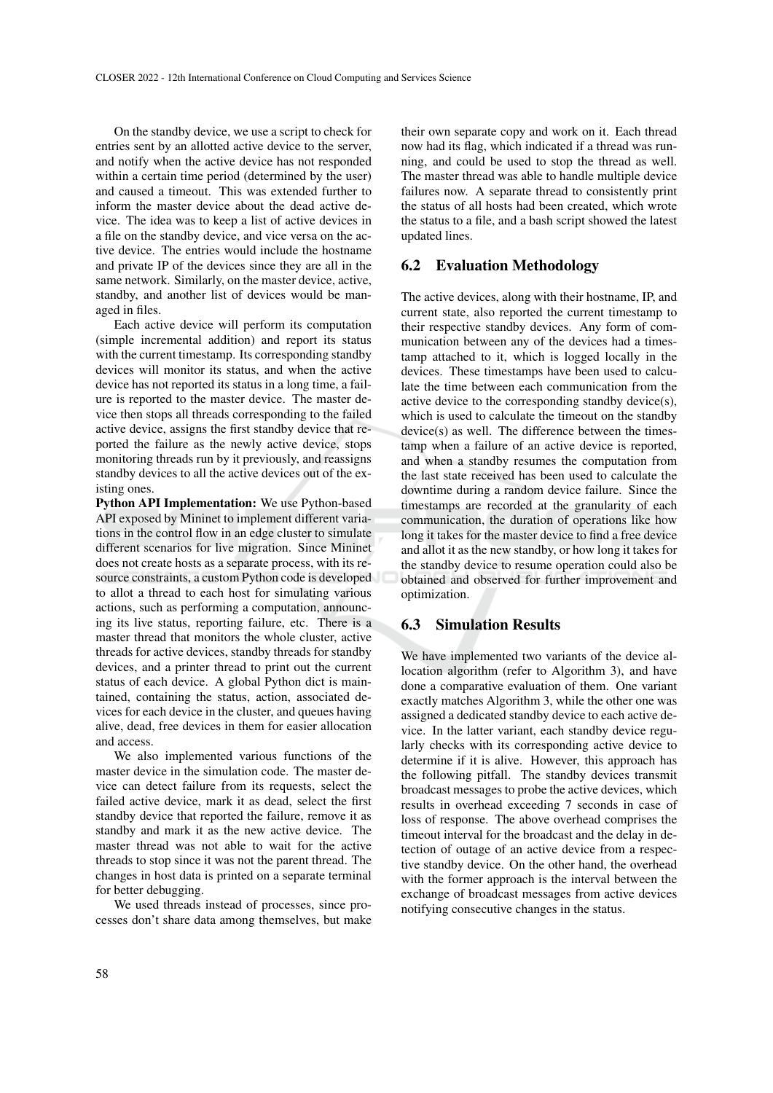On the standby device, we use a script to check for entries sent by an allotted active device to the server, and notify when the active device has not responded within a certain time period (determined by the user) and caused a timeout. This was extended further to inform the master device about the dead active device. The idea was to keep a list of active devices in a file on the standby device, and vice versa on the active device. The entries would include the hostname and private IP of the devices since they are all in the same network. Similarly, on the master device, active, standby, and another list of devices would be managed in files.

Each active device will perform its computation (simple incremental addition) and report its status with the current timestamp. Its corresponding standby devices will monitor its status, and when the active device has not reported its status in a long time, a failure is reported to the master device. The master device then stops all threads corresponding to the failed active device, assigns the first standby device that reported the failure as the newly active device, stops monitoring threads run by it previously, and reassigns standby devices to all the active devices out of the existing ones.

Python API Implementation: We use Python-based API exposed by Mininet to implement different variations in the control flow in an edge cluster to simulate different scenarios for live migration. Since Mininet does not create hosts as a separate process, with its resource constraints, a custom Python code is developed to allot a thread to each host for simulating various actions, such as performing a computation, announcing its live status, reporting failure, etc. There is a master thread that monitors the whole cluster, active threads for active devices, standby threads for standby devices, and a printer thread to print out the current status of each device. A global Python dict is maintained, containing the status, action, associated devices for each device in the cluster, and queues having alive, dead, free devices in them for easier allocation and access.

We also implemented various functions of the master device in the simulation code. The master device can detect failure from its requests, select the failed active device, mark it as dead, select the first standby device that reported the failure, remove it as standby and mark it as the new active device. The master thread was not able to wait for the active threads to stop since it was not the parent thread. The changes in host data is printed on a separate terminal for better debugging.

We used threads instead of processes, since processes don't share data among themselves, but make

their own separate copy and work on it. Each thread now had its flag, which indicated if a thread was running, and could be used to stop the thread as well. The master thread was able to handle multiple device failures now. A separate thread to consistently print the status of all hosts had been created, which wrote the status to a file, and a bash script showed the latest updated lines.

### 6.2 Evaluation Methodology

The active devices, along with their hostname, IP, and current state, also reported the current timestamp to their respective standby devices. Any form of communication between any of the devices had a timestamp attached to it, which is logged locally in the devices. These timestamps have been used to calculate the time between each communication from the active device to the corresponding standby device(s), which is used to calculate the timeout on the standby device(s) as well. The difference between the timestamp when a failure of an active device is reported, and when a standby resumes the computation from the last state received has been used to calculate the downtime during a random device failure. Since the timestamps are recorded at the granularity of each communication, the duration of operations like how long it takes for the master device to find a free device and allot it as the new standby, or how long it takes for the standby device to resume operation could also be obtained and observed for further improvement and optimization.

### 6.3 Simulation Results

We have implemented two variants of the device allocation algorithm (refer to Algorithm 3), and have done a comparative evaluation of them. One variant exactly matches Algorithm 3, while the other one was assigned a dedicated standby device to each active device. In the latter variant, each standby device regularly checks with its corresponding active device to determine if it is alive. However, this approach has the following pitfall. The standby devices transmit broadcast messages to probe the active devices, which results in overhead exceeding 7 seconds in case of loss of response. The above overhead comprises the timeout interval for the broadcast and the delay in detection of outage of an active device from a respective standby device. On the other hand, the overhead with the former approach is the interval between the exchange of broadcast messages from active devices notifying consecutive changes in the status.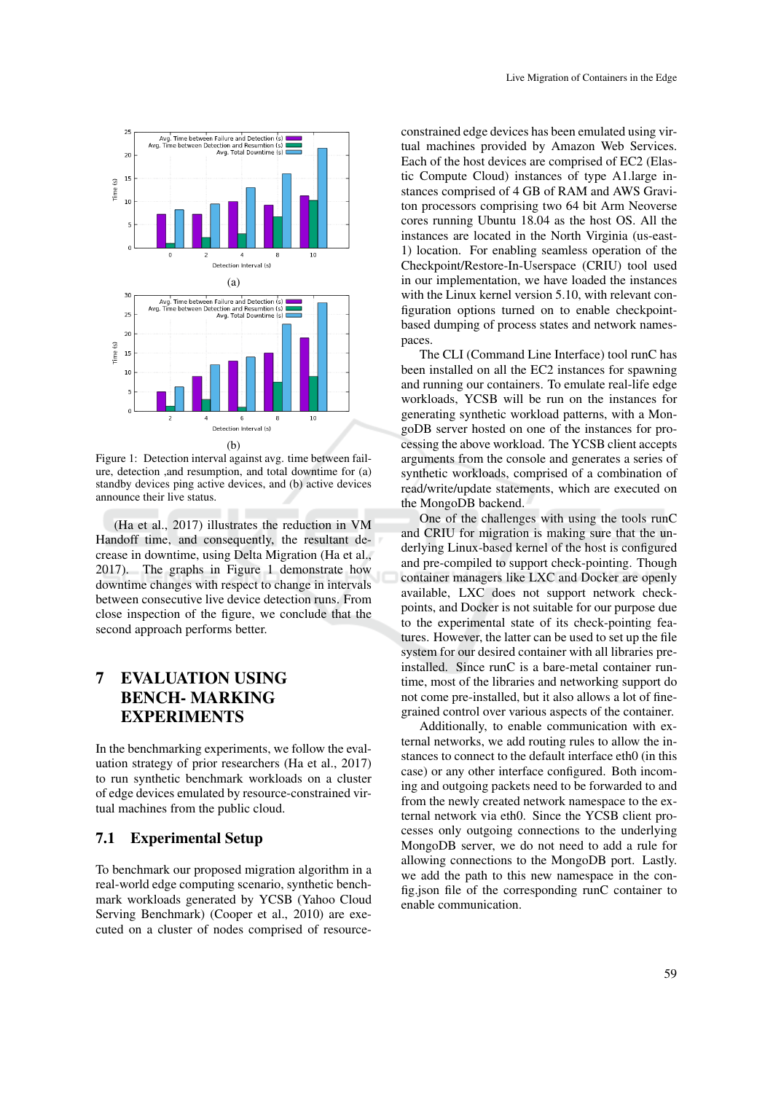

Figure 1: Detection interval against avg. time between failure, detection ,and resumption, and total downtime for (a) standby devices ping active devices, and (b) active devices announce their live status.

(Ha et al., 2017) illustrates the reduction in VM Handoff time, and consequently, the resultant decrease in downtime, using Delta Migration (Ha et al., 2017). The graphs in Figure 1 demonstrate how downtime changes with respect to change in intervals between consecutive live device detection runs. From close inspection of the figure, we conclude that the second approach performs better.

## 7 EVALUATION USING BENCH- MARKING EXPERIMENTS

In the benchmarking experiments, we follow the evaluation strategy of prior researchers (Ha et al., 2017) to run synthetic benchmark workloads on a cluster of edge devices emulated by resource-constrained virtual machines from the public cloud.

### 7.1 Experimental Setup

To benchmark our proposed migration algorithm in a real-world edge computing scenario, synthetic benchmark workloads generated by YCSB (Yahoo Cloud Serving Benchmark) (Cooper et al., 2010) are executed on a cluster of nodes comprised of resourceconstrained edge devices has been emulated using virtual machines provided by Amazon Web Services. Each of the host devices are comprised of EC2 (Elastic Compute Cloud) instances of type A1.large instances comprised of 4 GB of RAM and AWS Graviton processors comprising two 64 bit Arm Neoverse cores running Ubuntu 18.04 as the host OS. All the instances are located in the North Virginia (us-east-1) location. For enabling seamless operation of the Checkpoint/Restore-In-Userspace (CRIU) tool used in our implementation, we have loaded the instances with the Linux kernel version 5.10, with relevant configuration options turned on to enable checkpointbased dumping of process states and network namespaces.

The CLI (Command Line Interface) tool runC has been installed on all the EC2 instances for spawning and running our containers. To emulate real-life edge workloads, YCSB will be run on the instances for generating synthetic workload patterns, with a MongoDB server hosted on one of the instances for processing the above workload. The YCSB client accepts arguments from the console and generates a series of synthetic workloads, comprised of a combination of read/write/update statements, which are executed on the MongoDB backend.

One of the challenges with using the tools runC and CRIU for migration is making sure that the underlying Linux-based kernel of the host is configured and pre-compiled to support check-pointing. Though container managers like LXC and Docker are openly available, LXC does not support network checkpoints, and Docker is not suitable for our purpose due to the experimental state of its check-pointing features. However, the latter can be used to set up the file system for our desired container with all libraries preinstalled. Since runC is a bare-metal container runtime, most of the libraries and networking support do not come pre-installed, but it also allows a lot of finegrained control over various aspects of the container.

Additionally, to enable communication with external networks, we add routing rules to allow the instances to connect to the default interface eth0 (in this case) or any other interface configured. Both incoming and outgoing packets need to be forwarded to and from the newly created network namespace to the external network via eth0. Since the YCSB client processes only outgoing connections to the underlying MongoDB server, we do not need to add a rule for allowing connections to the MongoDB port. Lastly. we add the path to this new namespace in the config.json file of the corresponding runC container to enable communication.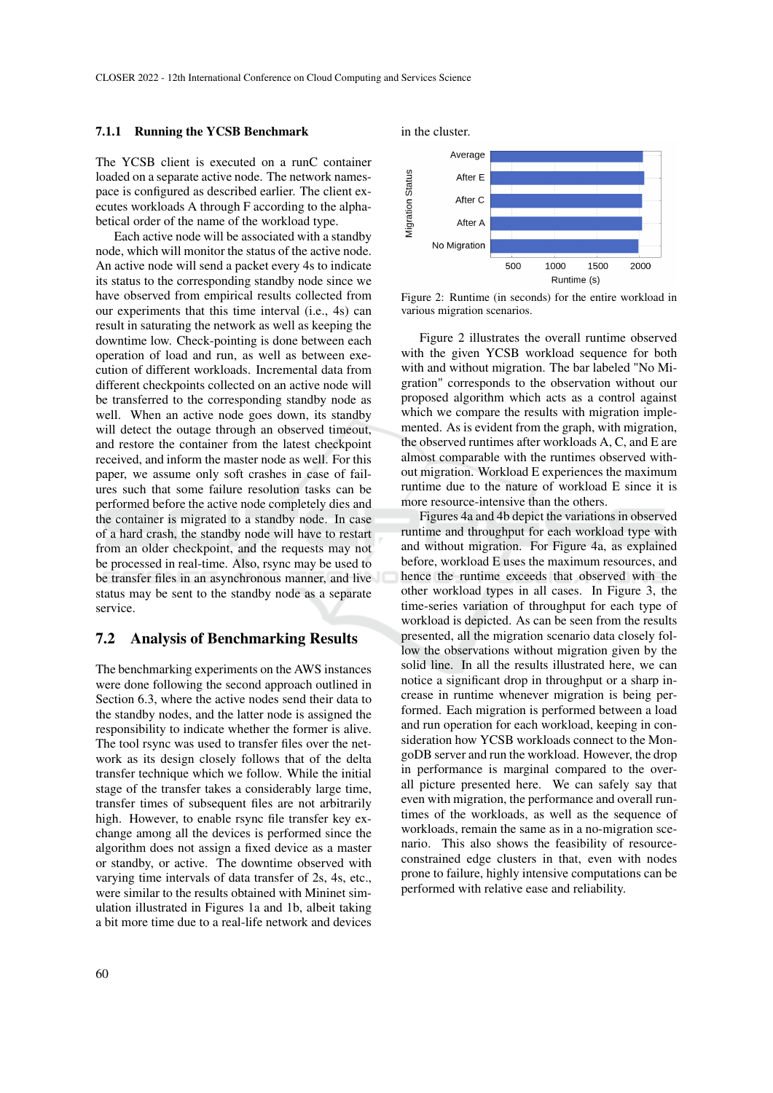#### 7.1.1 Running the YCSB Benchmark

The YCSB client is executed on a runC container loaded on a separate active node. The network namespace is configured as described earlier. The client executes workloads A through F according to the alphabetical order of the name of the workload type.

Each active node will be associated with a standby node, which will monitor the status of the active node. An active node will send a packet every 4s to indicate its status to the corresponding standby node since we have observed from empirical results collected from our experiments that this time interval (i.e., 4s) can result in saturating the network as well as keeping the downtime low. Check-pointing is done between each operation of load and run, as well as between execution of different workloads. Incremental data from different checkpoints collected on an active node will be transferred to the corresponding standby node as well. When an active node goes down, its standby will detect the outage through an observed timeout, and restore the container from the latest checkpoint received, and inform the master node as well. For this paper, we assume only soft crashes in case of failures such that some failure resolution tasks can be performed before the active node completely dies and the container is migrated to a standby node. In case of a hard crash, the standby node will have to restart from an older checkpoint, and the requests may not be processed in real-time. Also, rsync may be used to be transfer files in an asynchronous manner, and live status may be sent to the standby node as a separate service.

#### 7.2 Analysis of Benchmarking Results

The benchmarking experiments on the AWS instances were done following the second approach outlined in Section 6.3, where the active nodes send their data to the standby nodes, and the latter node is assigned the responsibility to indicate whether the former is alive. The tool rsync was used to transfer files over the network as its design closely follows that of the delta transfer technique which we follow. While the initial stage of the transfer takes a considerably large time, transfer times of subsequent files are not arbitrarily high. However, to enable rsync file transfer key exchange among all the devices is performed since the algorithm does not assign a fixed device as a master or standby, or active. The downtime observed with varying time intervals of data transfer of 2s, 4s, etc., were similar to the results obtained with Mininet simulation illustrated in Figures 1a and 1b, albeit taking a bit more time due to a real-life network and devices

in the cluster.



Figure 2: Runtime (in seconds) for the entire workload in various migration scenarios.

Figure 2 illustrates the overall runtime observed with the given YCSB workload sequence for both with and without migration. The bar labeled "No Migration" corresponds to the observation without our proposed algorithm which acts as a control against which we compare the results with migration implemented. As is evident from the graph, with migration, the observed runtimes after workloads A, C, and E are almost comparable with the runtimes observed without migration. Workload E experiences the maximum runtime due to the nature of workload E since it is more resource-intensive than the others.

Figures 4a and 4b depict the variations in observed runtime and throughput for each workload type with and without migration. For Figure 4a, as explained before, workload E uses the maximum resources, and hence the runtime exceeds that observed with the other workload types in all cases. In Figure 3, the time-series variation of throughput for each type of workload is depicted. As can be seen from the results presented, all the migration scenario data closely follow the observations without migration given by the solid line. In all the results illustrated here, we can notice a significant drop in throughput or a sharp increase in runtime whenever migration is being performed. Each migration is performed between a load and run operation for each workload, keeping in consideration how YCSB workloads connect to the MongoDB server and run the workload. However, the drop in performance is marginal compared to the overall picture presented here. We can safely say that even with migration, the performance and overall runtimes of the workloads, as well as the sequence of workloads, remain the same as in a no-migration scenario. This also shows the feasibility of resourceconstrained edge clusters in that, even with nodes prone to failure, highly intensive computations can be performed with relative ease and reliability.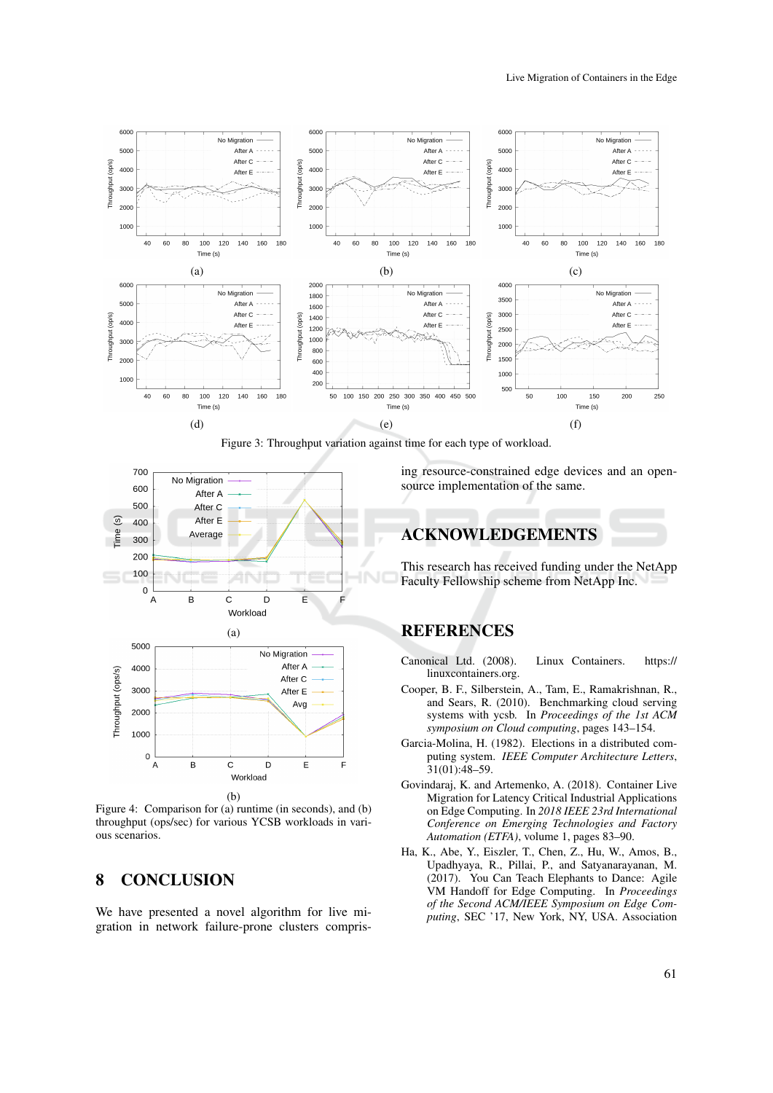

Figure 3: Throughput variation against time for each type of workload.



Figure 4: Comparison for (a) runtime (in seconds), and (b) throughput (ops/sec) for various YCSB workloads in various scenarios.

## 8 CONCLUSION

We have presented a novel algorithm for live migration in network failure-prone clusters comprising resource-constrained edge devices and an opensource implementation of the same.

## ACKNOWLEDGEMENTS

This research has received funding under the NetApp Faculty Fellowship scheme from NetApp Inc.

## **REFERENCES**

- Canonical Ltd. (2008). Linux Containers. https:// linuxcontainers.org.
- Cooper, B. F., Silberstein, A., Tam, E., Ramakrishnan, R., and Sears, R. (2010). Benchmarking cloud serving systems with ycsb. In *Proceedings of the 1st ACM symposium on Cloud computing*, pages 143–154.
- Garcia-Molina, H. (1982). Elections in a distributed computing system. *IEEE Computer Architecture Letters*, 31(01):48–59.
- Govindaraj, K. and Artemenko, A. (2018). Container Live Migration for Latency Critical Industrial Applications on Edge Computing. In *2018 IEEE 23rd International Conference on Emerging Technologies and Factory Automation (ETFA)*, volume 1, pages 83–90.
- Ha, K., Abe, Y., Eiszler, T., Chen, Z., Hu, W., Amos, B., Upadhyaya, R., Pillai, P., and Satyanarayanan, M. (2017). You Can Teach Elephants to Dance: Agile VM Handoff for Edge Computing. In *Proceedings of the Second ACM/IEEE Symposium on Edge Computing*, SEC '17, New York, NY, USA. Association